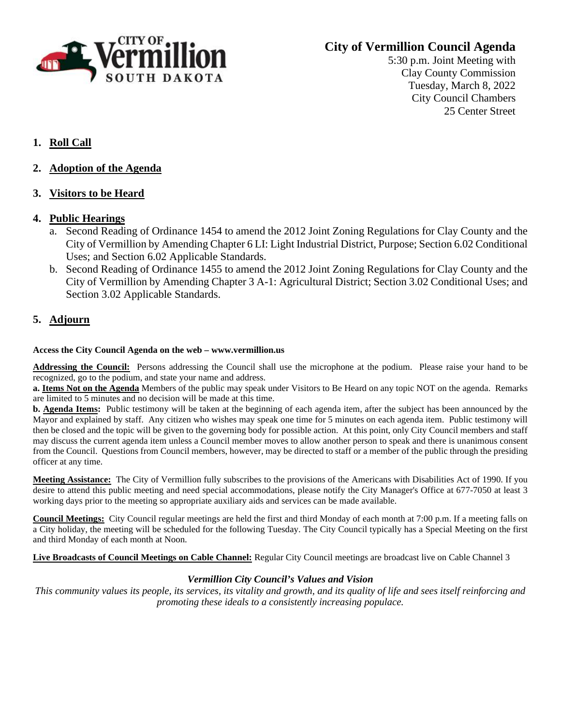

# **City of Vermillion Council Agenda**

5:30 p.m. Joint Meeting with Clay County Commission Tuesday, March 8, 2022 City Council Chambers 25 Center Street

- **1. Roll Call**
- **2. Adoption of the Agenda**
- **3. Visitors to be Heard**

### **4. Public Hearings**

- a. Second Reading of Ordinance 1454 to amend the 2012 Joint Zoning Regulations for Clay County and the City of Vermillion by Amending Chapter 6 LI: Light Industrial District, Purpose; Section 6.02 Conditional Uses; and Section 6.02 Applicable Standards.
- b. Second Reading of Ordinance 1455 to amend the 2012 Joint Zoning Regulations for Clay County and the City of Vermillion by Amending Chapter 3 A-1: Agricultural District; Section 3.02 Conditional Uses; and Section 3.02 Applicable Standards.

## **5. Adjourn**

#### **Access the City Council Agenda on the web – www.vermillion.us**

**Addressing the Council:** Persons addressing the Council shall use the microphone at the podium. Please raise your hand to be recognized, go to the podium, and state your name and address.

**a. Items Not on the Agenda** Members of the public may speak under Visitors to Be Heard on any topic NOT on the agenda. Remarks are limited to 5 minutes and no decision will be made at this time.

**b. Agenda Items:** Public testimony will be taken at the beginning of each agenda item, after the subject has been announced by the Mayor and explained by staff. Any citizen who wishes may speak one time for 5 minutes on each agenda item. Public testimony will then be closed and the topic will be given to the governing body for possible action. At this point, only City Council members and staff may discuss the current agenda item unless a Council member moves to allow another person to speak and there is unanimous consent from the Council. Questions from Council members, however, may be directed to staff or a member of the public through the presiding officer at any time.

**Meeting Assistance:** The City of Vermillion fully subscribes to the provisions of the Americans with Disabilities Act of 1990. If you desire to attend this public meeting and need special accommodations, please notify the City Manager's Office at 677-7050 at least 3 working days prior to the meeting so appropriate auxiliary aids and services can be made available.

**Council Meetings:** City Council regular meetings are held the first and third Monday of each month at 7:00 p.m. If a meeting falls on a City holiday, the meeting will be scheduled for the following Tuesday. The City Council typically has a Special Meeting on the first and third Monday of each month at Noon.

**Live Broadcasts of Council Meetings on Cable Channel:** Regular City Council meetings are broadcast live on Cable Channel 3

#### *Vermillion City Council's Values and Vision*

*This community values its people, its services, its vitality and growth, and its quality of life and sees itself reinforcing and promoting these ideals to a consistently increasing populace.*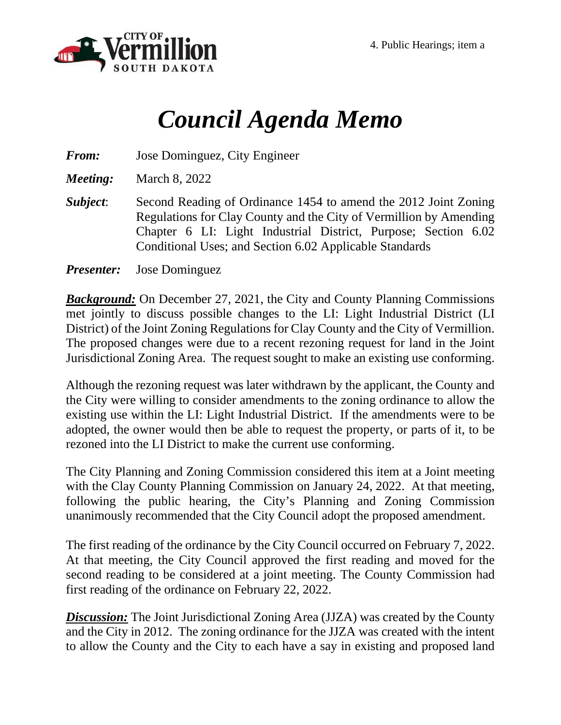

# *Council Agenda Memo*

*From:* Jose Dominguez, City Engineer

*Meeting:* March 8, 2022

*Subject*: Second Reading of Ordinance 1454 to amend the 2012 Joint Zoning Regulations for Clay County and the City of Vermillion by Amending Chapter 6 LI: Light Industrial District, Purpose; Section 6.02 Conditional Uses; and Section 6.02 Applicable Standards

*Presenter:* Jose Dominguez

*Background:* On December 27, 2021, the City and County Planning Commissions met jointly to discuss possible changes to the LI: Light Industrial District (LI District) of the Joint Zoning Regulations for Clay County and the City of Vermillion. The proposed changes were due to a recent rezoning request for land in the Joint Jurisdictional Zoning Area. The request sought to make an existing use conforming.

Although the rezoning request was later withdrawn by the applicant, the County and the City were willing to consider amendments to the zoning ordinance to allow the existing use within the LI: Light Industrial District. If the amendments were to be adopted, the owner would then be able to request the property, or parts of it, to be rezoned into the LI District to make the current use conforming.

The City Planning and Zoning Commission considered this item at a Joint meeting with the Clay County Planning Commission on January 24, 2022. At that meeting, following the public hearing, the City's Planning and Zoning Commission unanimously recommended that the City Council adopt the proposed amendment.

The first reading of the ordinance by the City Council occurred on February 7, 2022. At that meeting, the City Council approved the first reading and moved for the second reading to be considered at a joint meeting. The County Commission had first reading of the ordinance on February 22, 2022.

*Discussion:* The Joint Jurisdictional Zoning Area (JJZA) was created by the County and the City in 2012. The zoning ordinance for the JJZA was created with the intent to allow the County and the City to each have a say in existing and proposed land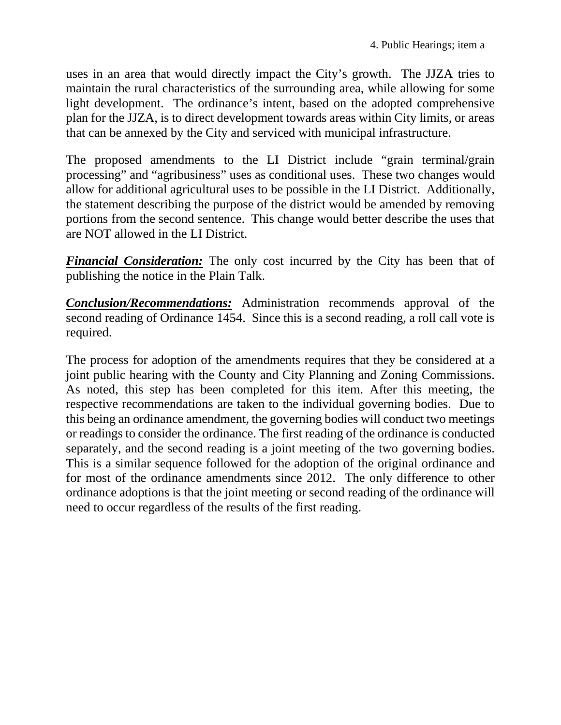uses in an area that would directly impact the City's growth. The JJZA tries to maintain the rural characteristics of the surrounding area, while allowing for some light development. The ordinance's intent, based on the adopted comprehensive plan for the JJZA, is to direct development towards areas within City limits, or areas that can be annexed by the City and serviced with municipal infrastructure.

The proposed amendments to the LI District include "grain terminal/grain processing" and "agribusiness" uses as conditional uses. These two changes would allow for additional agricultural uses to be possible in the LI District. Additionally, the statement describing the purpose of the district would be amended by removing portions from the second sentence. This change would better describe the uses that are NOT allowed in the LI District.

*Financial Consideration:* The only cost incurred by the City has been that of publishing the notice in the Plain Talk.

*Conclusion/Recommendations:* Administration recommends approval of the second reading of Ordinance 1454. Since this is a second reading, a roll call vote is required.

The process for adoption of the amendments requires that they be considered at a joint public hearing with the County and City Planning and Zoning Commissions. As noted, this step has been completed for this item. After this meeting, the respective recommendations are taken to the individual governing bodies. Due to this being an ordinance amendment, the governing bodies will conduct two meetings or readings to consider the ordinance. The first reading of the ordinance is conducted separately, and the second reading is a joint meeting of the two governing bodies. This is a similar sequence followed for the adoption of the original ordinance and for most of the ordinance amendments since 2012. The only difference to other ordinance adoptions is that the joint meeting or second reading of the ordinance will need to occur regardless of the results of the first reading.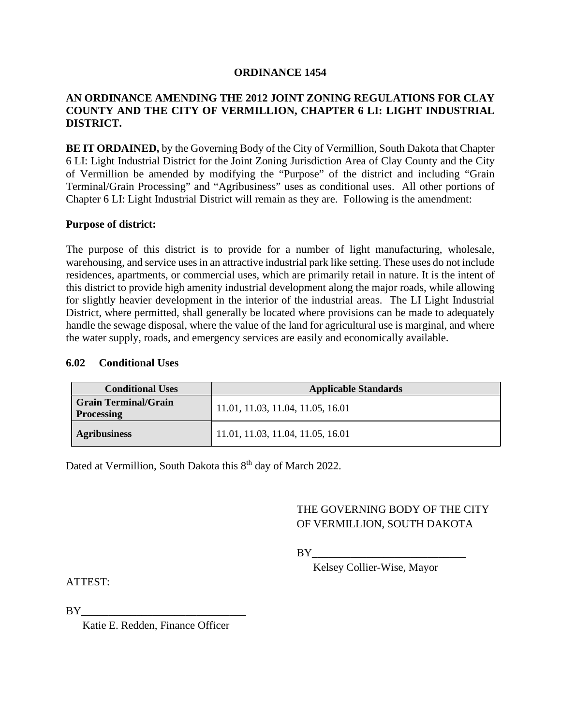#### **ORDINANCE 1454**

## **AN ORDINANCE AMENDING THE 2012 JOINT ZONING REGULATIONS FOR CLAY COUNTY AND THE CITY OF VERMILLION, CHAPTER 6 LI: LIGHT INDUSTRIAL DISTRICT.**

**BE IT ORDAINED,** by the Governing Body of the City of Vermillion, South Dakota that Chapter 6 LI: Light Industrial District for the Joint Zoning Jurisdiction Area of Clay County and the City of Vermillion be amended by modifying the "Purpose" of the district and including "Grain Terminal/Grain Processing" and "Agribusiness" uses as conditional uses. All other portions of Chapter 6 LI: Light Industrial District will remain as they are. Following is the amendment:

#### **Purpose of district:**

The purpose of this district is to provide for a number of light manufacturing, wholesale, warehousing, and service uses in an attractive industrial park like setting. These uses do not include residences, apartments, or commercial uses, which are primarily retail in nature. It is the intent of this district to provide high amenity industrial development along the major roads, while allowing for slightly heavier development in the interior of the industrial areas. The LI Light Industrial District, where permitted, shall generally be located where provisions can be made to adequately handle the sewage disposal, where the value of the land for agricultural use is marginal, and where the water supply, roads, and emergency services are easily and economically available.

#### **6.02 Conditional Uses**

| <b>Conditional Uses</b>                          | <b>Applicable Standards</b>       |
|--------------------------------------------------|-----------------------------------|
| <b>Grain Terminal/Grain</b><br><b>Processing</b> | 11.01, 11.03, 11.04, 11.05, 16.01 |
| <b>Agribusiness</b>                              | 11.01, 11.03, 11.04, 11.05, 16.01 |

Dated at Vermillion, South Dakota this 8<sup>th</sup> day of March 2022.

# THE GOVERNING BODY OF THE CITY OF VERMILLION, SOUTH DAKOTA

BY\_\_\_\_\_\_\_\_\_\_\_\_\_\_\_\_\_\_\_\_\_\_\_\_\_\_\_\_

Kelsey Collier-Wise, Mayor

ATTEST:

 $BY$ 

Katie E. Redden, Finance Officer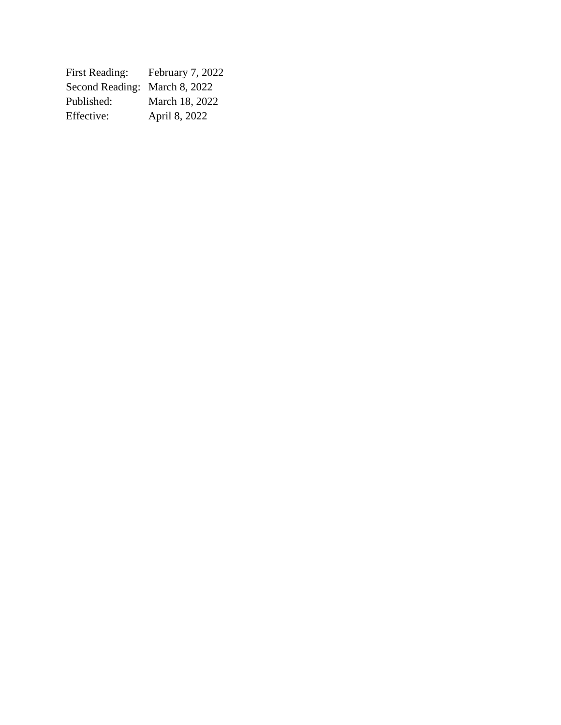| <b>First Reading:</b>         | February 7, 2022 |
|-------------------------------|------------------|
| Second Reading: March 8, 2022 |                  |
| Published:                    | March 18, 2022   |
| Effective:                    | April 8, 2022    |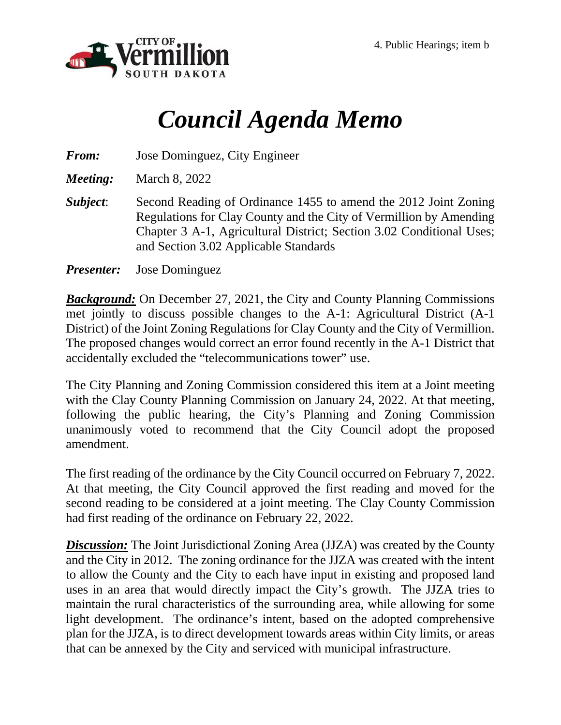

# *Council Agenda Memo*

*From:* Jose Dominguez, City Engineer

*Meeting:* March 8, 2022

*Subject*: Second Reading of Ordinance 1455 to amend the 2012 Joint Zoning Regulations for Clay County and the City of Vermillion by Amending Chapter 3 A-1, Agricultural District; Section 3.02 Conditional Uses; and Section 3.02 Applicable Standards

*Presenter:* Jose Dominguez

*Background:* On December 27, 2021, the City and County Planning Commissions met jointly to discuss possible changes to the A-1: Agricultural District (A-1 District) of the Joint Zoning Regulations for Clay County and the City of Vermillion. The proposed changes would correct an error found recently in the A-1 District that accidentally excluded the "telecommunications tower" use.

The City Planning and Zoning Commission considered this item at a Joint meeting with the Clay County Planning Commission on January 24, 2022. At that meeting, following the public hearing, the City's Planning and Zoning Commission unanimously voted to recommend that the City Council adopt the proposed amendment.

The first reading of the ordinance by the City Council occurred on February 7, 2022. At that meeting, the City Council approved the first reading and moved for the second reading to be considered at a joint meeting. The Clay County Commission had first reading of the ordinance on February 22, 2022.

*Discussion:* The Joint Jurisdictional Zoning Area (JJZA) was created by the County and the City in 2012. The zoning ordinance for the JJZA was created with the intent to allow the County and the City to each have input in existing and proposed land uses in an area that would directly impact the City's growth. The JJZA tries to maintain the rural characteristics of the surrounding area, while allowing for some light development. The ordinance's intent, based on the adopted comprehensive plan for the JJZA, is to direct development towards areas within City limits, or areas that can be annexed by the City and serviced with municipal infrastructure.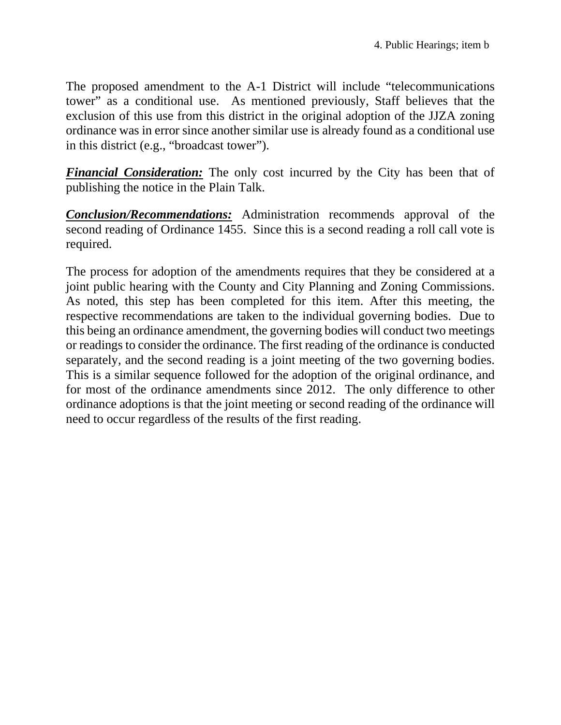The proposed amendment to the A-1 District will include "telecommunications tower" as a conditional use. As mentioned previously, Staff believes that the exclusion of this use from this district in the original adoption of the JJZA zoning ordinance was in error since another similar use is already found as a conditional use in this district (e.g., "broadcast tower").

**Financial Consideration:** The only cost incurred by the City has been that of publishing the notice in the Plain Talk.

*Conclusion/Recommendations:* Administration recommends approval of the second reading of Ordinance 1455. Since this is a second reading a roll call vote is required.

The process for adoption of the amendments requires that they be considered at a joint public hearing with the County and City Planning and Zoning Commissions. As noted, this step has been completed for this item. After this meeting, the respective recommendations are taken to the individual governing bodies. Due to this being an ordinance amendment, the governing bodies will conduct two meetings or readings to consider the ordinance. The first reading of the ordinance is conducted separately, and the second reading is a joint meeting of the two governing bodies. This is a similar sequence followed for the adoption of the original ordinance, and for most of the ordinance amendments since 2012. The only difference to other ordinance adoptions is that the joint meeting or second reading of the ordinance will need to occur regardless of the results of the first reading.